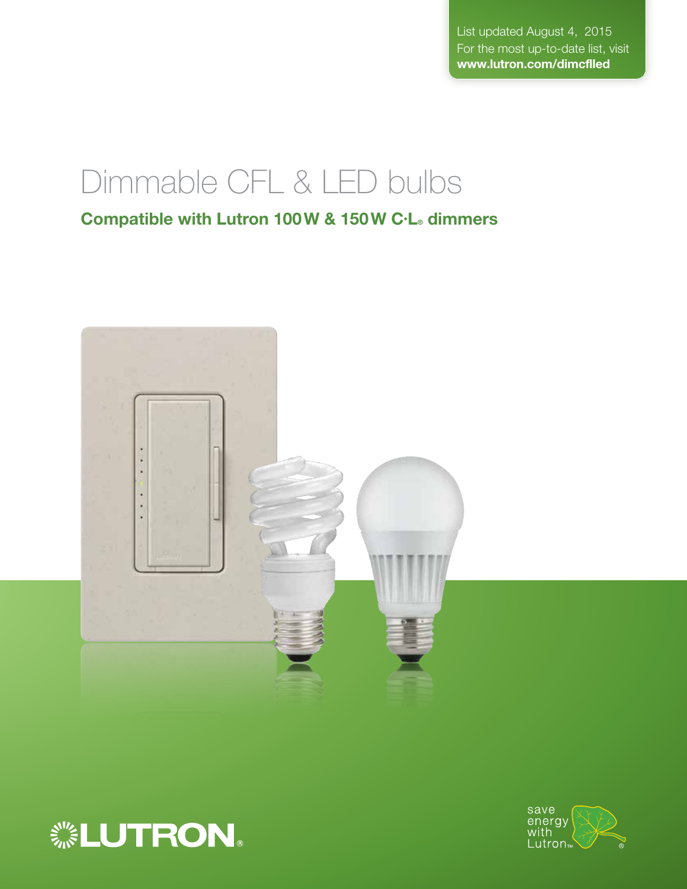List updated August 4, 2015 For the most up-to-date list, visit www.lutron.com/dimcflled

# Dimmable CFL & LED bulbs

Compatible with Lutron 100W & 150W C·L® dimmers





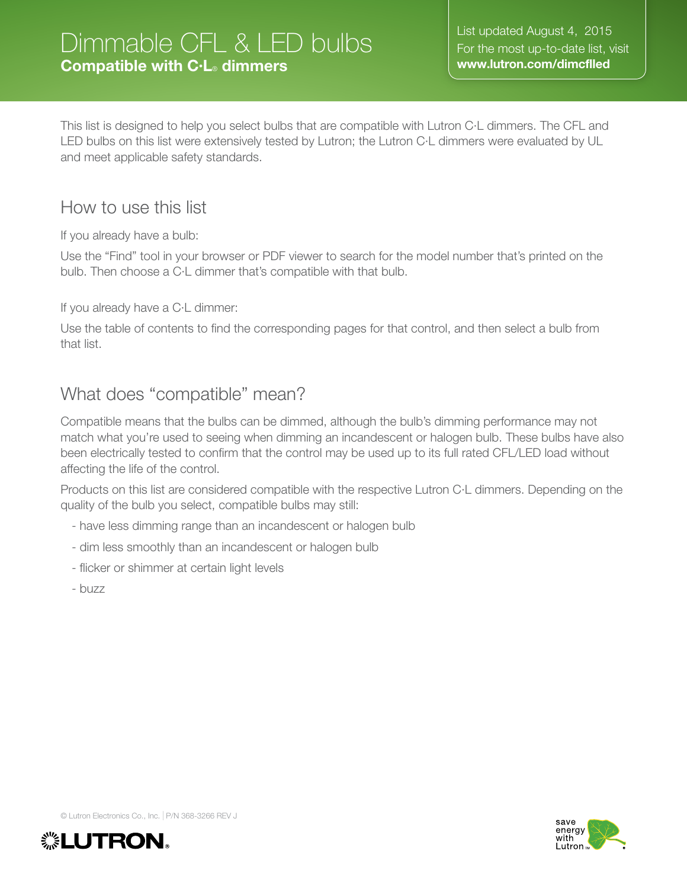# Dimmable CFL & LED bulbs Compatible with C•L® dimmers

This list is designed to help you select bulbs that are compatible with Lutron C·L dimmers. The CFL and LED bulbs on this list were extensively tested by Lutron; the Lutron C·L dimmers were evaluated by UL and meet applicable safety standards.

## How to use this list

If you already have a bulb:

Use the "Find" tool in your browser or PDF viewer to search for the model number that's printed on the bulb. Then choose a C·L dimmer that's compatible with that bulb.

If you already have a C·L dimmer:

Use the table of contents to find the corresponding pages for that control, and then select a bulb from that list.

## What does "compatible" mean?

Compatible means that the bulbs can be dimmed, although the bulb's dimming performance may not match what you're used to seeing when dimming an incandescent or halogen bulb. These bulbs have also been electrically tested to confirm that the control may be used up to its full rated CFL/LED load without affecting the life of the control.

Products on this list are considered compatible with the respective Lutron C·L dimmers. Depending on the quality of the bulb you select, compatible bulbs may still:

- have less dimming range than an incandescent or halogen bulb
- dim less smoothly than an incandescent or halogen bulb
- flicker or shimmer at certain light levels
- buzz



© Lutron Electronics Co., Inc. I P/N 368-3266 REV <sup>J</sup>

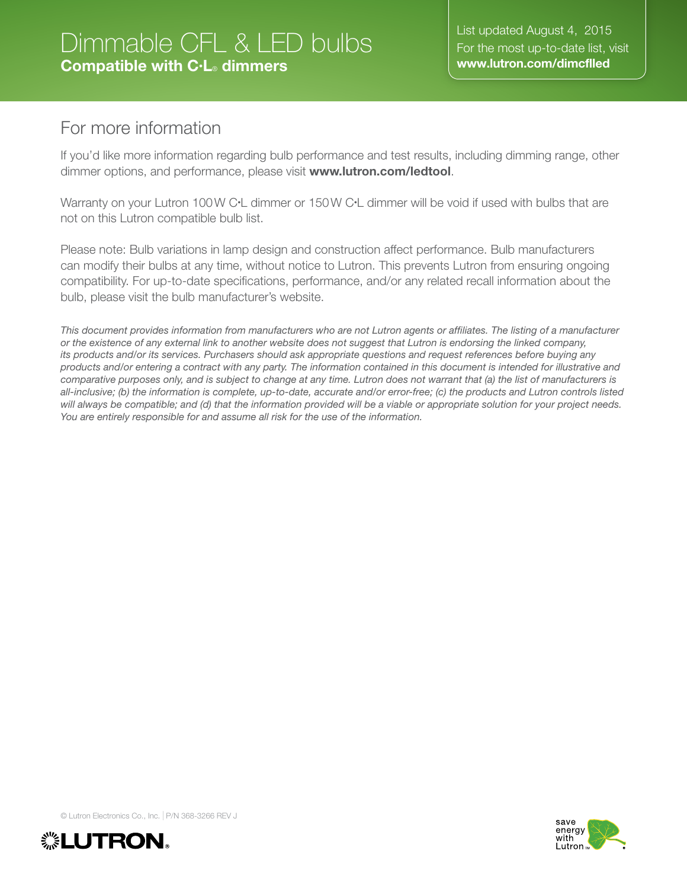# Dimmable CFL & LED bulbs Compatible with C•L® dimmers

## For more information

If you'd like more information regarding bulb performance and test results, including dimming range, other dimmer options, and performance, please visit www.lutron.com/ledtool.

Warranty on your Lutron 100W C·L dimmer or 150W C·L dimmer will be void if used with bulbs that are not on this Lutron compatible bulb list.

Please note: Bulb variations in lamp design and construction affect performance. Bulb manufacturers can modify their bulbs at any time, without notice to Lutron. This prevents Lutron from ensuring ongoing compatibility. For up-to-date specifications, performance, and/or any related recall information about the bulb, please visit the bulb manufacturer's website.

*This document provides information from manufacturers who are not Lutron agents or affiliates. The listing of a manufacturer or the existence of any external link to another website does not suggest that Lutron is endorsing the linked company, its products and/or its services. Purchasers should ask appropriate questions and request references before buying any products and/or entering a contract with any party. The information contained in this document is intended for illustrative and comparative purposes only, and is subject to change at any time. Lutron does not warrant that (a) the list of manufacturers is all-inclusive; (b) the information is complete, up-to-date, accurate and/or error-free; (c) the products and Lutron controls listed will always be compatible; and (d) that the information provided will be a viable or appropriate solution for your project needs. You are entirely responsible for and assume all risk for the use of the information.* 



© Lutron Electronics Co., Inc. I P/N 368-3266 REV <sup>J</sup>

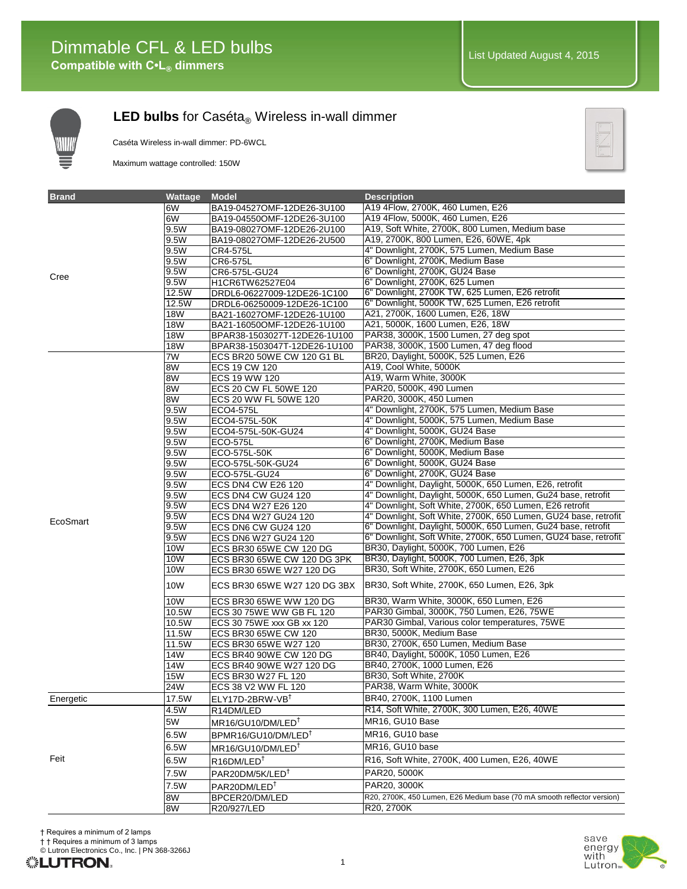

Caséta Wireless in-wall dimmer: PD-6WCL

Maximum wattage controlled: 150W



| <b>Brand</b> | Wattage      | <b>Model</b>                                        | <b>Description</b>                                                            |
|--------------|--------------|-----------------------------------------------------|-------------------------------------------------------------------------------|
|              | 6W           | BA19-04527OMF-12DE26-3U100                          | A19 4Flow, 2700K, 460 Lumen, E26                                              |
|              | 6W           | BA19-04550OMF-12DE26-3U100                          | A19 4Flow, 5000K, 460 Lumen, E26                                              |
|              | 9.5W         | BA19-08027OMF-12DE26-2U100                          | A19, Soft White, 2700K, 800 Lumen, Medium base                                |
|              | 9.5W         | BA19-08027OMF-12DE26-2U500                          | A19, 2700K, 800 Lumen, E26, 60WE, 4pk                                         |
|              | 9.5W         | CR4-575L                                            | 4" Downlight, 2700K, 575 Lumen, Medium Base                                   |
|              | 9.5W         | CR6-575L                                            | 6" Downlight, 2700K, Medium Base                                              |
| Cree         | 9.5W         | CR6-575L-GU24                                       | 6" Downlight, 2700K, GU24 Base                                                |
|              | 9.5W         | H1CR6TW62527E04                                     | 6" Downlight, 2700K, 625 Lumen                                                |
|              | 12.5W        | DRDL6-06227009-12DE26-1C100                         | 6" Downlight, 2700K TW, 625 Lumen, E26 retrofit                               |
|              | 12.5W        | DRDL6-06250009-12DE26-1C100                         | 6" Downlight, 5000K TW, 625 Lumen, E26 retrofit                               |
|              | <b>18W</b>   | BA21-16027OMF-12DE26-1U100                          | A21, 2700K, 1600 Lumen, E26, 18W                                              |
|              | <b>18W</b>   | BA21-16050OMF-12DE26-1U100                          | A21, 5000K, 1600 Lumen, E26, 18W                                              |
|              | <b>18W</b>   | BPAR38-1503027T-12DE26-1U100                        | PAR38, 3000K, 1500 Lumen, 27 deg spot                                         |
|              | <b>18W</b>   | BPAR38-1503047T-12DE26-1U100                        | PAR38, 3000K, 1500 Lumen, 47 deg flood                                        |
|              | 7W           | ECS BR20 50WE CW 120 G1 BL                          | BR20, Daylight, 5000K, 525 Lumen, E26                                         |
|              | 8W           | <b>ECS 19 CW 120</b>                                | A19, Cool White, 5000K                                                        |
|              | 8W           | ECS 19 WW 120                                       | A19, Warm White, 3000K                                                        |
|              | 8W<br>8W     | ECS 20 CW FL 50WE 120                               | PAR20, 5000K, 490 Lumen<br>PAR20, 3000K, 450 Lumen                            |
|              | 9.5W         | ECS 20 WW FL 50WE 120                               | 4" Downlight, 2700K, 575 Lumen, Medium Base                                   |
|              | 9.5W         | ECO4-575L<br>ECO4-575L-50K                          | 4" Downlight, 5000K, 575 Lumen, Medium Base                                   |
|              | 9.5W         | ECO4-575L-50K-GU24                                  | 4" Downlight, 5000K, GU24 Base                                                |
|              | 9.5W         | ECO-575L                                            | 6" Downlight, 2700K, Medium Base                                              |
|              | 9.5W         | ECO-575L-50K                                        | 6" Downlight, 5000K, Medium Base                                              |
|              | 9.5W         | ECO-575L-50K-GU24                                   | 6" Downlight, 5000K, GU24 Base                                                |
|              | 9.5W         | ECO-575L-GU24                                       | 6" Downlight, 2700K, GU24 Base                                                |
|              | 9.5W         | ECS DN4 CW E26 120                                  | 4" Downlight, Daylight, 5000K, 650 Lumen, E26, retrofit                       |
|              | 9.5W         | ECS DN4 CW GU24 120                                 | 4" Downlight, Daylight, 5000K, 650 Lumen, Gu24 base, retrofit                 |
|              | 9.5W         | ECS DN4 W27 E26 120                                 | 4" Downlight, Soft White, 2700K, 650 Lumen, E26 retrofit                      |
| EcoSmart     | 9.5W         | ECS DN4 W27 GU24 120                                | 4" Downlight, Soft White, 2700K, 650 Lumen, GU24 base, retrofit               |
|              | 9.5W         | ECS DN6 CW GU24 120                                 | 6" Downlight, Daylight, 5000K, 650 Lumen, Gu24 base, retrofit                 |
|              | 9.5W         | ECS DN6 W27 GU24 120                                | 6" Downlight, Soft White, 2700K, 650 Lumen, GU24 base, retrofit               |
|              | 10W          | ECS BR30 65WE CW 120 DG                             | BR30, Daylight, 5000K, 700 Lumen, E26                                         |
|              | 10W          | ECS BR30 65WE CW 120 DG 3PK                         | BR30, Daylight, 5000K, 700 Lumen, E26, 3pk                                    |
|              | 10W          | ECS BR30 65WE W27 120 DG                            | BR30, Soft White, 2700K, 650 Lumen, E26                                       |
|              | 10W          | ECS BR30 65WE W27 120 DG 3BX                        | BR30, Soft White, 2700K, 650 Lumen, E26, 3pk                                  |
|              | 10W          | ECS BR30 65WE WW 120 DG                             | BR30, Warm White, 3000K, 650 Lumen, E26                                       |
|              | 10.5W        | ECS 30 75WE WW GB FL 120                            | PAR30 Gimbal, 3000K, 750 Lumen, E26, 75WE                                     |
|              | 10.5W        | ECS 30 75WE xxx GB xx 120                           | PAR30 Gimbal, Various color temperatures, 75WE                                |
|              | 11.5W        | ECS BR30 65WE CW 120                                | BR30, 5000K, Medium Base                                                      |
|              | 11.5W<br>14W | ECS BR30 65WE W27 120                               | BR30, 2700K, 650 Lumen, Medium Base<br>BR40, Daylight, 5000K, 1050 Lumen, E26 |
|              | 14W          | ECS BR40 90WE CW 120 DG<br>ECS BR40 90WE W27 120 DG | BR40, 2700K, 1000 Lumen, E26                                                  |
|              | <b>15W</b>   | ECS BR30 W27 FL 120                                 | BR30, Soft White, 2700K                                                       |
|              | 24W          | ECS 38 V2 WW FL 120                                 | PAR38, Warm White, 3000K                                                      |
| Energetic    | 17.5W        | ELY17D-2BRW-VB <sup>+</sup>                         | BR40, 2700K, 1100 Lumen                                                       |
|              | 4.5W         | R14DM/LED                                           | R14, Soft White, 2700K, 300 Lumen, E26, 40WE                                  |
|              | 5W           | MR16/GU10/DM/LED <sup>†</sup>                       | MR16, GU10 Base                                                               |
|              | 6.5W         | BPMR16/GU10/DM/LED <sup>†</sup>                     | MR16, GU10 base                                                               |
|              | 6.5W         | MR16/GU10/DM/LED <sup>†</sup>                       | MR16, GU10 base                                                               |
| Feit         | 6.5W         | $R16$ DM/LED <sup>†</sup>                           | R16, Soft White, 2700K, 400 Lumen, E26, 40WE                                  |
|              | 7.5W         | PAR20DM/5K/LED <sup>+</sup>                         | PAR20, 5000K                                                                  |
|              | 7.5W         | PAR20DM/LED <sup>+</sup>                            | PAR20, 3000K                                                                  |
|              | 8W           | BPCER20/DM/LED                                      | R20, 2700K, 450 Lumen, E26 Medium base (70 mA smooth reflector version)       |
|              | 8W           | R20/927/LED                                         | R20, 2700K                                                                    |



† † Requires a minimum of 3 lamps

© Lutron Electronics Co., Inc. | PN 368-3266J

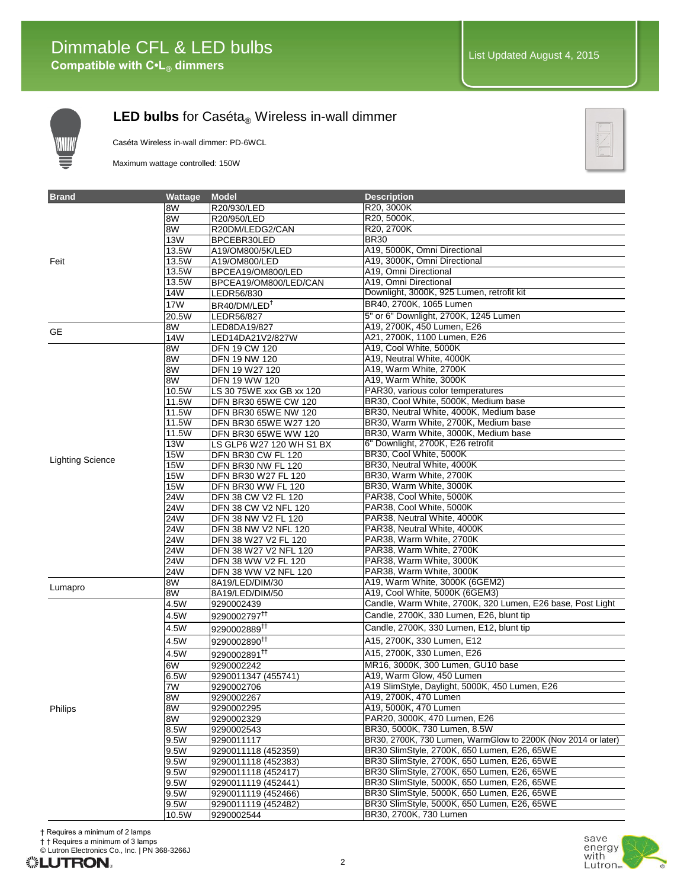

Caséta Wireless in-wall dimmer: PD-6WCL

Maximum wattage controlled: 150W



| <b>Brand</b>            | Wattage    | <b>Model</b>                                 | <b>Description</b>                                            |
|-------------------------|------------|----------------------------------------------|---------------------------------------------------------------|
|                         | 8W         | R20/930/LED                                  | R20, 3000K                                                    |
|                         | 8W         | R20/950/LED                                  | R20, 5000K,                                                   |
|                         | 8W         | R20DM/LEDG2/CAN                              | R20, 2700K                                                    |
|                         | <b>13W</b> | BPCEBR30LED                                  | <b>BR30</b>                                                   |
|                         | 13.5W      | A19/OM800/5K/LED                             | A19, 5000K, Omni Directional                                  |
| Feit                    | 13.5W      | A19/OM800/LED                                | A19, 3000K, Omni Directional                                  |
|                         | 13.5W      | BPCEA19/OM800/LED                            | A19, Omni Directional                                         |
|                         | 13.5W      | BPCEA19/OM800/LED/CAN                        | A19, Omni Directional                                         |
|                         | 14W        | LEDR56/830                                   | Downlight, 3000K, 925 Lumen, retrofit kit                     |
|                         | 17W        | BR40/DM/LED <sup>T</sup>                     | BR40, 2700K, 1065 Lumen                                       |
|                         | 20.5W      | LEDR56/827                                   | 5" or 6" Downlight, 2700K, 1245 Lumen                         |
| <b>GE</b>               | 8W         | LED8DA19/827                                 | A19, 2700K, 450 Lumen, E26                                    |
|                         | 14W        | LED14DA21V2/827W                             | A21, 2700K, 1100 Lumen, E26                                   |
|                         | 8W         | <b>DFN 19 CW 120</b>                         | A19, Cool White, 5000K                                        |
|                         | 8W         | DFN 19 NW 120                                | A19, Neutral White, 4000K                                     |
|                         | 8W         | DFN 19 W27 120                               | A19, Warm White, 2700K                                        |
|                         | 8W         | DFN 19 WW 120                                | A19, Warm White, 3000K                                        |
|                         | 10.5W      | LS 30 75WE xxx GB xx 120                     | PAR30, various color temperatures                             |
|                         | 11.5W      | DFN BR30 65WE CW 120                         | BR30, Cool White, 5000K, Medium base                          |
|                         | 11.5W      | DFN BR30 65WE NW 120                         | BR30, Neutral White, 4000K, Medium base                       |
|                         | 11.5W      | DFN BR30 65WE W27 120                        | BR30, Warm White, 2700K, Medium base                          |
|                         | 11.5W      | DFN BR30 65WE WW 120                         | BR30, Warm White, 3000K, Medium base                          |
|                         | <b>13W</b> | LS GLP6 W27 120 WH S1 BX                     | 6" Downlight, 2700K, E26 retrofit                             |
| <b>Lighting Science</b> | <b>15W</b> | DFN BR30 CW FL 120                           | BR30, Cool White, 5000K                                       |
|                         | <b>15W</b> | DFN BR30 NW FL 120                           | BR30, Neutral White, 4000K                                    |
|                         | <b>15W</b> | DFN BR30 W27 FL 120                          | BR30, Warm White, 2700K                                       |
|                         | <b>15W</b> | DFN BR30 WW FL 120                           | BR30, Warm White, 3000K                                       |
|                         | 24W        | DFN 38 CW V2 FL 120                          | PAR38, Cool White, 5000K                                      |
|                         | 24W        | DFN 38 CW V2 NFL 120                         | PAR38, Cool White, 5000K                                      |
|                         | 24W        | DFN 38 NW V2 FL 120                          | PAR38, Neutral White, 4000K                                   |
|                         | 24W<br>24W | DFN 38 NW V2 NFL 120                         | PAR38, Neutral White, 4000K<br>PAR38, Warm White, 2700K       |
|                         | 24W        | DFN 38 W27 V2 FL 120                         | PAR38, Warm White, 2700K                                      |
|                         | 24W        | DFN 38 W27 V2 NFL 120<br>DFN 38 WW V2 FL 120 | PAR38, Warm White, 3000K                                      |
|                         | 24W        | <b>DFN 38 WW V2 NFL 120</b>                  | PAR38, Warm White, 3000K                                      |
|                         | 8W         | 8A19/LED/DIM/30                              | A19, Warm White, 3000K (6GEM2)                                |
| Lumapro                 | 8W         | 8A19/LED/DIM/50                              | A19, Cool White, 5000K (6GEM3)                                |
|                         | 4.5W       | 9290002439                                   | Candle, Warm White, 2700K, 320 Lumen, E26 base, Post Light    |
|                         | 4.5W       | 9290002797 <sup>††</sup>                     | Candle, 2700K, 330 Lumen, E26, blunt tip                      |
|                         |            |                                              |                                                               |
|                         | 4.5W       | 9290002889 <sup>††</sup>                     | Candle, 2700K, 330 Lumen, E12, blunt tip                      |
|                         | 4.5W       | 9290002890 <sup>††</sup>                     | A15, 2700K, 330 Lumen, E12                                    |
|                         | 4.5W       | 9290002891 <sup>tt</sup>                     | A15, 2700K, 330 Lumen, E26                                    |
|                         | 6W         | 9290002242                                   | MR16, 3000K, 300 Lumen, GU10 base                             |
|                         | 6.5W       | 9290011347 (455741)                          | A19, Warm Glow, 450 Lumen                                     |
|                         | 7W         | 9290002706                                   | A19 SlimStyle, Daylight, 5000K, 450 Lumen, E26                |
| Philips                 | 8W         | 9290002267                                   | A19, 2700K, 470 Lumen                                         |
|                         | 8W         | 9290002295                                   | A19, 5000K, 470 Lumen                                         |
|                         | 8W         | 9290002329                                   | PAR20, 3000K, 470 Lumen, E26                                  |
|                         | 8.5W       | 9290002543                                   | BR30, 5000K, 730 Lumen, 8.5W                                  |
|                         | 9.5W       | 9290011117                                   | BR30, 2700K, 730 Lumen, WarmGlow to 2200K (Nov 2014 or later) |
|                         | 9.5W       | 9290011118 (452359)                          | BR30 SlimStyle, 2700K, 650 Lumen, E26, 65WE                   |
|                         | 9.5W       | 9290011118 (452383)                          | BR30 SlimStyle, 2700K, 650 Lumen, E26, 65WE                   |
|                         | 9.5W       | 9290011118 (452417)                          | BR30 SlimStyle, 2700K, 650 Lumen, E26, 65WE                   |
|                         | 9.5W       | 9290011119 (452441)                          | BR30 SlimStyle, 5000K, 650 Lumen, E26, 65WE                   |
|                         | 9.5W       | 9290011119 (452466)                          | BR30 SlimStyle, 5000K, 650 Lumen, E26, 65WE                   |
|                         | 9.5W       | 9290011119 (452482)                          | BR30 SlimStyle, 5000K, 650 Lumen, E26, 65WE                   |
|                         | 10.5W      | 9290002544                                   | BR30, 2700K, 730 Lumen                                        |

† Requires a minimum of 2 lamps

† † Requires a minimum of 3 lamps

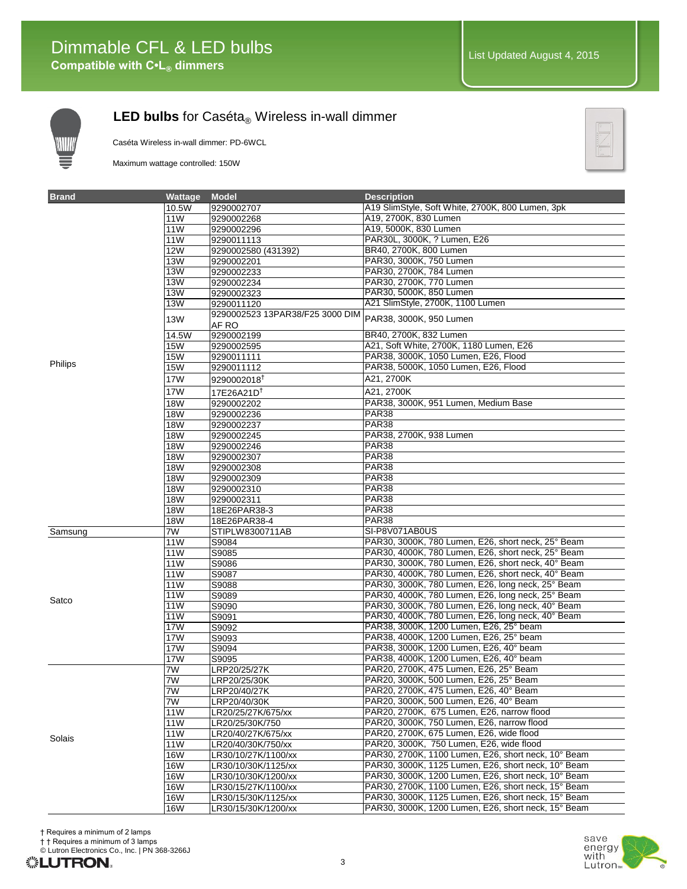

Caséta Wireless in-wall dimmer: PD-6WCL

Maximum wattage controlled: 150W



| <b>Brand</b> | Wattage         | <b>Model</b>                    | <b>Description</b>                                  |
|--------------|-----------------|---------------------------------|-----------------------------------------------------|
|              | 10.5W           | 9290002707                      | A19 SlimStyle, Soft White, 2700K, 800 Lumen, 3pk    |
|              | 11W             | 9290002268                      | A19, 2700K, 830 Lumen                               |
|              | 11W             | 9290002296                      | A19, 5000K, 830 Lumen                               |
|              | 11W             | 9290011113                      | PAR30L, 3000K, ? Lumen, E26                         |
|              | <b>12W</b>      | 9290002580 (431392)             | BR40, 2700K, 800 Lumen                              |
|              | <b>13W</b>      | 9290002201                      | PAR30, 3000K, 750 Lumen                             |
|              | <b>13W</b>      | 9290002233                      | PAR30, 2700K, 784 Lumen                             |
|              | <b>13W</b>      | 9290002234                      | PAR30, 2700K, 770 Lumen                             |
|              | <b>13W</b>      | 9290002323                      | PAR30, 5000K, 850 Lumen                             |
|              | <b>13W</b>      | 9290011120                      | A21 SlimStyle, 2700K, 1100 Lumen                    |
|              | <b>13W</b>      | 9290002523 13PAR38/F25 3000 DIM | PAR38, 3000K, 950 Lumen                             |
|              |                 | AF RO                           |                                                     |
|              | 14.5W           | 9290002199                      | BR40, 2700K, 832 Lumen                              |
|              | <b>15W</b>      | 9290002595                      | A21, Soft White, 2700K, 1180 Lumen, E26             |
| Philips      | <b>15W</b>      | 9290011111                      | PAR38, 3000K, 1050 Lumen, E26, Flood                |
|              | <b>15W</b>      | 9290011112                      | PAR38, 5000K, 1050 Lumen, E26, Flood                |
|              | 17W             | 9290002018                      | A21, 2700K                                          |
|              | 17W             | 17E26A21D <sup>†</sup>          | A21, 2700K                                          |
|              | <b>18W</b>      | 9290002202                      | PAR38, 3000K, 951 Lumen, Medium Base                |
|              | <b>18W</b>      | 9290002236                      | PAR <sub>38</sub>                                   |
|              | <b>18W</b>      | 9290002237                      | <b>PAR38</b>                                        |
|              | <b>18W</b>      | 9290002245                      | PAR38, 2700K, 938 Lumen                             |
|              | <b>18W</b>      | 9290002246                      | PAR <sub>38</sub>                                   |
|              | <b>18W</b>      | 9290002307                      | PAR <sub>38</sub>                                   |
|              | <b>18W</b>      | 9290002308                      | <b>PAR38</b>                                        |
|              | <b>18W</b>      | 9290002309                      | <b>PAR38</b>                                        |
|              | 18W             | 9290002310                      | PAR <sub>38</sub>                                   |
|              | <b>18W</b>      | 9290002311                      | PAR <sub>38</sub>                                   |
|              | <b>18W</b>      | 18E26PAR38-3                    | PAR <sub>38</sub>                                   |
|              | <b>18W</b>      | 18E26PAR38-4                    | <b>PAR38</b>                                        |
| Samsung      | 7W              | STIPLW8300711AB                 | SI-P8V071AB0US                                      |
|              | 11W             | S9084                           | PAR30, 3000K, 780 Lumen, E26, short neck, 25° Beam  |
|              | 11W             | S9085                           | PAR30, 4000K, 780 Lumen, E26, short neck, 25° Beam  |
|              | 11W             | S9086                           | PAR30, 3000K, 780 Lumen, E26, short neck, 40° Beam  |
|              | 11W             | S9087                           | PAR30, 4000K, 780 Lumen, E26, short neck, 40° Beam  |
|              | 11W             | S9088                           | PAR30, 3000K, 780 Lumen, E26, long neck, 25° Beam   |
| Satco        | 11W             | S9089                           | PAR30, 4000K, 780 Lumen, E26, long neck, 25° Beam   |
|              | 11W             | S9090                           | PAR30, 3000K, 780 Lumen, E26, long neck, 40° Beam   |
|              | 11W             | S9091                           | PAR30, 4000K, 780 Lumen, E26, long neck, 40° Beam   |
|              | <b>17W</b>      | S9092                           | PAR38, 3000K, 1200 Lumen, E26, 25° beam             |
|              | <b>17W</b>      | S9093                           | PAR38, 4000K, 1200 Lumen, E26, 25° beam             |
|              | <b>17W</b>      | S9094                           | PAR38, 3000K, 1200 Lumen, E26, 40° beam             |
|              | 17W             | S9095                           | PAR38, 4000K, 1200 Lumen, E26, 40° beam             |
|              | 7W              | LRP20/25/27K                    | PAR20, 2700K, 475 Lumen, E26, 25° Beam              |
| Solais       | 7W              | LRP20/25/30K                    | PAR20, 3000K, 500 Lumen, E26, 25° Beam              |
|              | 7W              | LRP20/40/27K                    | PAR20, 2700K, 475 Lumen, E26, 40° Beam              |
|              | 7W              | LRP20/40/30K                    | PAR20, 3000K, 500 Lumen, E26, 40° Beam              |
|              | 11W             | LR20/25/27K/675/xx              | PAR20, 2700K, 675 Lumen, E26, narrow flood          |
|              | 11 <sub>W</sub> | LR20/25/30K/750                 | PAR20, 3000K, 750 Lumen, E26, narrow flood          |
|              | 11W             | LR20/40/27K/675/xx              | PAR20, 2700K, 675 Lumen, E26, wide flood            |
|              | 11W             | LR20/40/30K/750/xx              | PAR20, 3000K, 750 Lumen, E26, wide flood            |
|              | <b>16W</b>      | LR30/10/27K/1100/xx             | PAR30, 2700K, 1100 Lumen, E26, short neck, 10° Beam |
|              | <b>16W</b>      | LR30/10/30K/1125/xx             | PAR30, 3000K, 1125 Lumen, E26, short neck, 10° Beam |
|              | <b>16W</b>      | LR30/10/30K/1200/xx             | PAR30, 3000K, 1200 Lumen, E26, short neck, 10° Beam |
|              | <b>16W</b>      | LR30/15/27K/1100/xx             | PAR30, 2700K, 1100 Lumen, E26, short neck, 15° Beam |
|              | <b>16W</b>      | LR30/15/30K/1125/xx             | PAR30, 3000K, 1125 Lumen, E26, short neck, 15° Beam |
|              | <b>16W</b>      | LR30/15/30K/1200/xx             | PAR30, 3000K, 1200 Lumen, E26, short neck, 15° Beam |



© Lutron Electronics Co., Inc. | PN 368-3266J

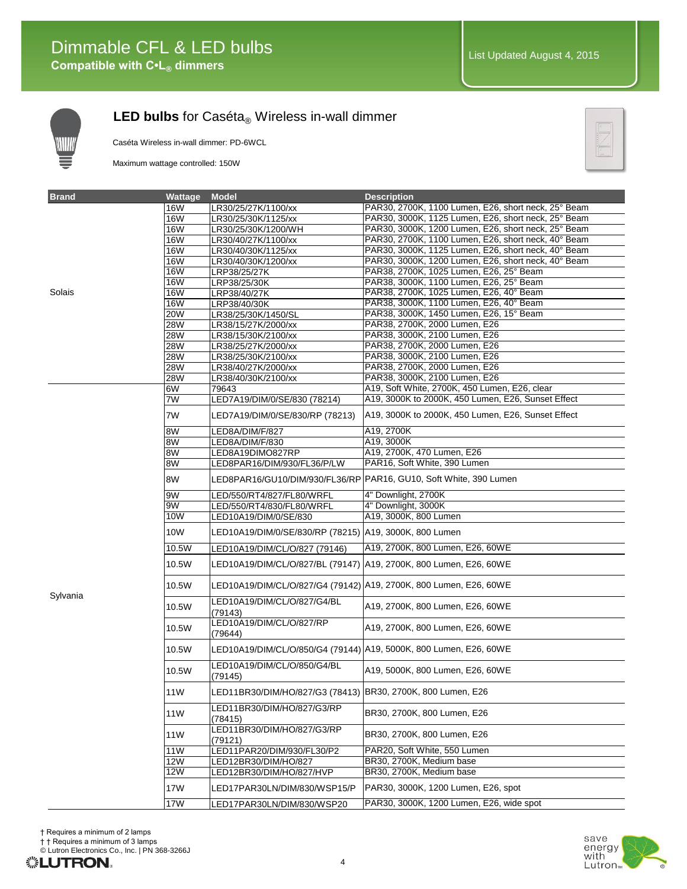

Caséta Wireless in-wall dimmer: PD-6WCL

Maximum wattage controlled: 150W



| <b>Brand</b> | Wattage         | <b>Model</b>                                                        | <b>Description</b>                                                |
|--------------|-----------------|---------------------------------------------------------------------|-------------------------------------------------------------------|
|              | <b>16W</b>      | LR30/25/27K/1100/xx                                                 | PAR30, 2700K, 1100 Lumen, E26, short neck, 25° Beam               |
|              | <b>16W</b>      | LR30/25/30K/1125/xx                                                 | PAR30, 3000K, 1125 Lumen, E26, short neck, 25° Beam               |
|              | <b>16W</b>      | LR30/25/30K/1200/WH                                                 | PAR30, 3000K, 1200 Lumen, E26, short neck, 25° Beam               |
|              | <b>16W</b>      | LR30/40/27K/1100/xx                                                 | PAR30, 2700K, 1100 Lumen, E26, short neck, 40° Beam               |
|              | <b>16W</b>      | LR30/40/30K/1125/xx                                                 | PAR30, 3000K, 1125 Lumen, E26, short neck, 40° Beam               |
|              | <b>16W</b>      | LR30/40/30K/1200/xx                                                 | PAR30, 3000K, 1200 Lumen, E26, short neck, 40° Beam               |
|              | <b>16W</b>      | LRP38/25/27K                                                        | PAR38, 2700K, 1025 Lumen, E26, 25° Beam                           |
|              | <b>16W</b>      | LRP38/25/30K                                                        | PAR38, 3000K, 1100 Lumen, E26, 25° Beam                           |
| Solais       | <b>16W</b>      | LRP38/40/27K                                                        | PAR38, 2700K, 1025 Lumen, E26, 40° Beam                           |
|              | <b>16W</b>      | LRP38/40/30K                                                        | PAR38, 3000K, 1100 Lumen, E26, 40° Beam                           |
|              | <b>20W</b>      | LR38/25/30K/1450/SL                                                 | PAR38, 3000K, 1450 Lumen, E26, 15° Beam                           |
|              | <b>28W</b>      | LR38/15/27K/2000/xx                                                 | PAR38, 2700K, 2000 Lumen, E26                                     |
|              | 28W             | LR38/15/30K/2100/xx                                                 | PAR38, 3000K, 2100 Lumen, E26                                     |
|              | <b>28W</b>      | LR38/25/27K/2000/xx                                                 | PAR38, 2700K, 2000 Lumen, E26                                     |
|              | 28W             | LR38/25/30K/2100/xx                                                 | PAR38, 3000K, 2100 Lumen, E26                                     |
|              | <b>28W</b>      | LR38/40/27K/2000/xx                                                 | PAR38, 2700K, 2000 Lumen, E26                                     |
|              | <b>28W</b>      | LR38/40/30K/2100/xx                                                 | PAR38, 3000K, 2100 Lumen, E26                                     |
|              | 6W              | 79643                                                               | A19, Soft White, 2700K, 450 Lumen, E26, clear                     |
|              | 7W              | LED7A19/DIM/0/SE/830 (78214)                                        | A19, 3000K to 2000K, 450 Lumen, E26, Sunset Effect                |
|              | 7W              | LED7A19/DIM/0/SE/830/RP (78213)                                     | A19, 3000K to 2000K, 450 Lumen, E26, Sunset Effect                |
|              | 8W              | LED8A/DIM/F/827                                                     | A19, 2700K                                                        |
|              | 8W              | LED8A/DIM/F/830                                                     | A19, 3000K                                                        |
|              | 8W              | LED8A19DIMO827RP                                                    | A19, 2700K, 470 Lumen, E26                                        |
|              | 8W              | LED8PAR16/DIM/930/FL36/P/LW                                         | PAR16, Soft White, 390 Lumen                                      |
|              | 8W              |                                                                     | LED8PAR16/GU10/DIM/930/FL36/RP PAR16, GU10, Soft White, 390 Lumen |
|              | 9W              | LED/550/RT4/827/FL80/WRFL                                           | 4" Downlight, 2700K                                               |
|              | 9W              | LED/550/RT4/830/FL80/WRFL                                           | 4" Downlight, 3000K                                               |
|              | 10W             | LED10A19/DIM/0/SE/830                                               | A19, 3000K, 800 Lumen                                             |
|              | 10W             | LED10A19/DIM/0/SE/830/RP (78215)   A19, 3000K, 800 Lumen            |                                                                   |
|              | 10.5W           | LED10A19/DIM/CL/O/827 (79146)                                       | A19, 2700K, 800 Lumen, E26, 60WE                                  |
|              | 10.5W           | LED10A19/DIM/CL/O/827/BL (79147)   A19, 2700K, 800 Lumen, E26, 60WE |                                                                   |
| Sylvania     | 10.5W           | LED10A19/DIM/CL/O/827/G4 (79142) A19, 2700K, 800 Lumen, E26, 60WE   |                                                                   |
|              | 10.5W           | LED10A19/DIM/CL/O/827/G4/BL<br>(79143)                              | A19, 2700K, 800 Lumen, E26, 60WE                                  |
|              | 10.5W           | LED10A19/DIM/CL/O/827/RP<br>(79644)                                 | A19, 2700K, 800 Lumen, E26, 60WE                                  |
|              | 10.5W           | LED10A19/DIM/CL/O/850/G4 (79144) A19, 5000K, 800 Lumen, E26, 60WE   |                                                                   |
|              | 10.5W           | LED10A19/DIM/CL/O/850/G4/BL<br>(79145)                              | A19, 5000K, 800 Lumen, E26, 60WE                                  |
|              | 11W             | LED11BR30/DIM/HO/827/G3 (78413)   BR30, 2700K, 800 Lumen, E26       |                                                                   |
|              | 11W             | LED11BR30/DIM/HO/827/G3/RP<br>(78415)                               | BR30, 2700K, 800 Lumen, E26                                       |
|              | 11W             | LED11BR30/DIM/HO/827/G3/RP<br>(79121)                               | BR30, 2700K, 800 Lumen, E26                                       |
|              | 11 <sub>W</sub> | LED11PAR20/DIM/930/FL30/P2                                          | PAR20, Soft White, 550 Lumen                                      |
|              | <b>12W</b>      | LED12BR30/DIM/HO/827                                                | BR30, 2700K, Medium base                                          |
|              | 12W             | LED12BR30/DIM/HO/827/HVP                                            | BR30, 2700K, Medium base                                          |
|              | 17W             | LED17PAR30LN/DIM/830/WSP15/P                                        | PAR30, 3000K, 1200 Lumen, E26, spot                               |
|              | 17W             | LED17PAR30LN/DIM/830/WSP20                                          | PAR30, 3000K, 1200 Lumen, E26, wide spot                          |



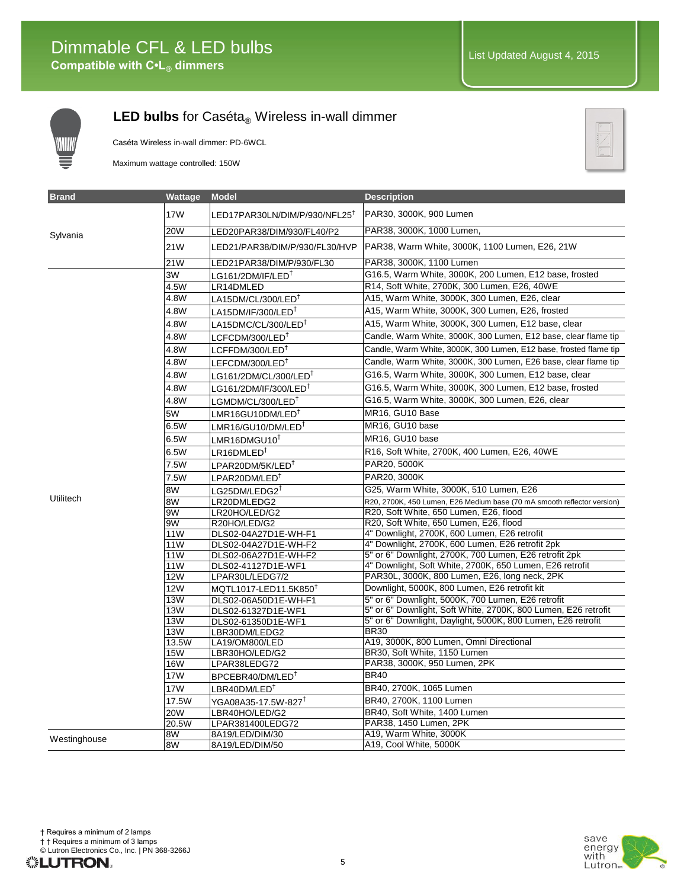

Caséta Wireless in-wall dimmer: PD-6WCL

Maximum wattage controlled: 150W



| <b>Brand</b> | Wattage    | <b>Model</b>                                         | <b>Description</b>                                                      |
|--------------|------------|------------------------------------------------------|-------------------------------------------------------------------------|
|              | 17W        | LED17PAR30LN/DIM/P/930/NFL25 <sup>T</sup>            | PAR30, 3000K, 900 Lumen                                                 |
| Sylvania     | 20W        | LED20PAR38/DIM/930/FL40/P2                           | PAR38, 3000K, 1000 Lumen,                                               |
|              | 21W        | LED21/PAR38/DIM/P/930/FL30/HVP                       | PAR38, Warm White, 3000K, 1100 Lumen, E26, 21W                          |
|              | 21W        | LED21PAR38/DIM/P/930/FL30                            | PAR38, 3000K, 1100 Lumen                                                |
|              | 3W         | LG161/2DM/IF/LED <sup>†</sup>                        | G16.5, Warm White, 3000K, 200 Lumen, E12 base, frosted                  |
|              | 4.5W       | LR14DMLED                                            | R14, Soft White, 2700K, 300 Lumen, E26, 40WE                            |
|              | 4.8W       | LA15DM/CL/300/LED <sup>†</sup>                       | A15, Warm White, 3000K, 300 Lumen, E26, clear                           |
|              | 4.8W       | LA15DM/IF/300/LED <sup>†</sup>                       | A15, Warm White, 3000K, 300 Lumen, E26, frosted                         |
|              | 4.8W       | LA15DMC/CL/300/LED <sup>T</sup>                      | A15, Warm White, 3000K, 300 Lumen, E12 base, clear                      |
|              | 4.8W       | LCFCDM/300/LED <sup>†</sup>                          | Candle, Warm White, 3000K, 300 Lumen, E12 base, clear flame tip         |
|              | 4.8W       | LCFFDM/300/LED <sup>†</sup>                          | Candle, Warm White, 3000K, 300 Lumen, E12 base, frosted flame tip       |
|              | 4.8W       | LEFCDM/300/LED <sup>†</sup>                          | Candle, Warm White, 3000K, 300 Lumen, E26 base, clear flame tip         |
|              | 4.8W       | $LG$ 161/2DM/CL/300/LED $^\dagger$                   | G16.5, Warm White, 3000K, 300 Lumen, E12 base, clear                    |
|              | 4.8W       | $\mathsf{LG}$ 161/2DM/IF/300/LED $^\intercal$        | G16.5, Warm White, 3000K, 300 Lumen, E12 base, frosted                  |
|              | 4.8W       | $LGMDM/CL/300/LED^{\dagger}$                         | G16.5, Warm White, 3000K, 300 Lumen, E26, clear                         |
|              | 5W         | LMR16GU10DM/LED <sup>†</sup>                         | MR16, GU10 Base                                                         |
|              | 6.5W       | $LMR16/GU10/DM/LED^{\dagger}$                        | MR16, GU10 base                                                         |
|              | 6.5W       | LMR16DMGU10 <sup>†</sup>                             | MR16, GU10 base                                                         |
|              | 6.5W       | $\mathsf{LR16DMLED}^\intercal$                       | R16, Soft White, 2700K, 400 Lumen, E26, 40WE                            |
|              | 7.5W       |                                                      | PAR20, 5000K                                                            |
|              |            | $\mathsf{LPAR20DM}/5\mathsf{K}/\mathsf{LED}^\dagger$ | PAR20, 3000K                                                            |
|              | 7.5W       | $\mathsf{LPAR20DM/LED}^\dagger$                      | G25, Warm White, 3000K, 510 Lumen, E26                                  |
| Utilitech    | 8W         | $LG25DM/LEDG2^{\dagger}$                             | R20, 2700K, 450 Lumen, E26 Medium base (70 mA smooth reflector version) |
|              | 8W<br>9W   | LR20DMLEDG2<br>LR20HO/LED/G2                         | R20, Soft White, 650 Lumen, E26, flood                                  |
|              | 9W         | R20HO/LED/G2                                         | R20, Soft White, 650 Lumen, E26, flood                                  |
|              | 11W        | DLS02-04A27D1E-WH-F1                                 | 4" Downlight, 2700K, 600 Lumen, E26 retrofit                            |
|              | 11W        | DLS02-04A27D1E-WH-F2                                 | 4" Downlight, 2700K, 600 Lumen, E26 retrofit 2pk                        |
|              | 11W        | DLS02-06A27D1E-WH-F2                                 | 5" or 6" Downlight, 2700K, 700 Lumen, E26 retrofit 2pk                  |
|              | 11W        | DLS02-41127D1E-WF1                                   | 4" Downlight, Soft White, 2700K, 650 Lumen, E26 retrofit                |
|              | 12W        | LPAR30L/LEDG7/2                                      | PAR30L, 3000K, 800 Lumen, E26, long neck, 2PK                           |
|              | 12W        | MQTL1017-LED11.5K850 <sup>T</sup>                    | Downlight, 5000K, 800 Lumen, E26 retrofit kit                           |
|              | 13W        | DLS02-06A50D1E-WH-F1                                 | 5" or 6" Downlight, 5000K, 700 Lumen, E26 retrofit                      |
|              | 13W        | DLS02-61327D1E-WF1                                   | 5" or 6" Downlight, Soft White, 2700K, 800 Lumen, E26 retrofit          |
|              | <b>13W</b> | DLS02-61350D1E-WF1                                   | 5" or 6" Downlight, Daylight, 5000K, 800 Lumen, E26 retrofit            |
|              | <b>13W</b> | LBR30DM/LEDG2                                        | <b>BR30</b>                                                             |
|              | 13.5W      | LA19/OM800/LED                                       | A19, 3000K, 800 Lumen, Omni Directional                                 |
|              | <b>15W</b> | LBR30HO/LED/G2                                       | BR30, Soft White, 1150 Lumen                                            |
|              | <b>16W</b> | LPAR38LEDG72                                         | PAR38, 3000K, 950 Lumen, 2PK                                            |
|              | 17W        | BPCEBR40/DM/LED <sup>+</sup>                         | <b>BR40</b>                                                             |
|              | 17W        | ${\sf LBR40DM/LED}^{\dagger}$                        | BR40, 2700K, 1065 Lumen                                                 |
|              | 17.5W      | YGA08A35-17.5W-827 <sup>T</sup>                      | BR40, 2700K, 1100 Lumen                                                 |
|              | 20W        | LBR40HO/LED/G2                                       | BR40, Soft White, 1400 Lumen                                            |
|              | 20.5W      | LPAR381400LEDG72                                     | PAR38, 1450 Lumen, 2PK                                                  |
| Westinghouse | 8W         | 8A19/LED/DIM/30                                      | A19, Warm White, 3000K                                                  |
|              | 8W         | 8A19/LED/DIM/50                                      | A19, Cool White, 5000K                                                  |

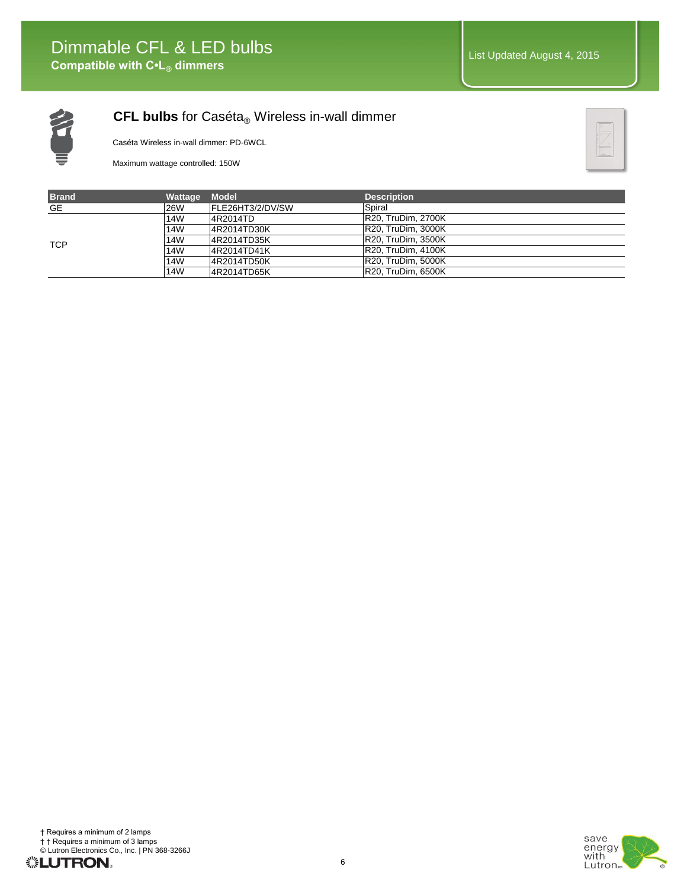

#### **CFL bulbs** for Caséta® Wireless in-wall dimmer

Caséta Wireless in-wall dimmer: PD-6WCL

Maximum wattage controlled: 150W



| <b>Brand</b> | <b>Wattage</b> | Model            | <b>Description</b>        |
|--------------|----------------|------------------|---------------------------|
| GE           | <b>26W</b>     | FLE26HT3/2/DV/SW | Spiral                    |
| <b>TCP</b>   | 14W            | 14R2014TD        | <b>R20, TruDim, 2700K</b> |
|              | 14W            | 4R2014TD30K      | <b>R20, TruDim, 3000K</b> |
|              | 14W            | 4R2014TD35K      | IR20. TruDim. 3500K       |
|              | 14W            | 4R2014TD41K      | IR20. TruDim. 4100K       |
|              | 14W            | 14R2014TD50K     | IR20. TruDim. 5000K       |
|              | 14W            | 4R2014TD65K      | IR20. TruDim. 6500K       |

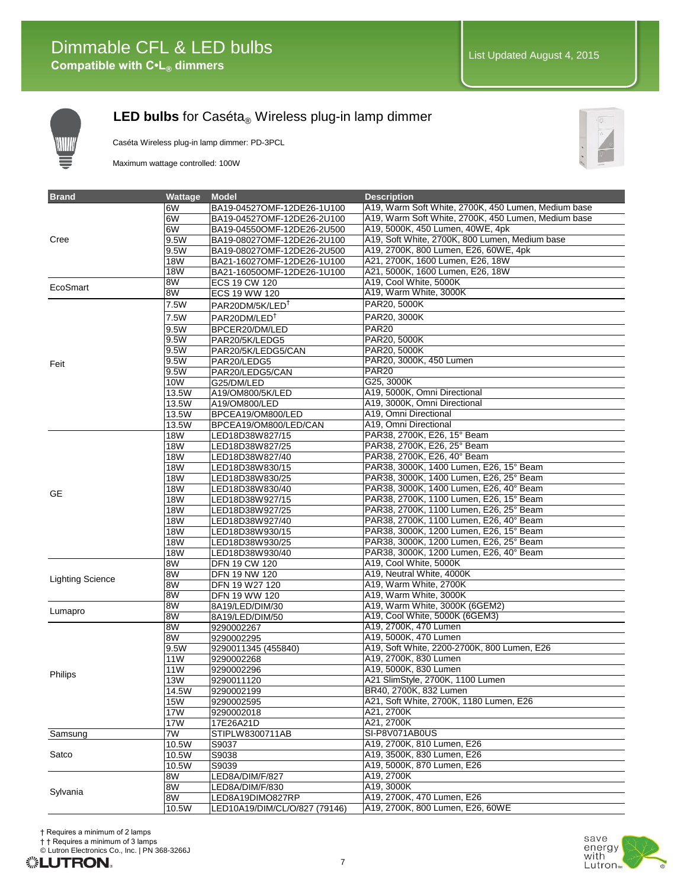

#### LED bulbs for Caséta<sub>®</sub> Wireless plug-in lamp dimmer

Caséta Wireless plug-in lamp dimmer: PD-3PCL

Maximum wattage controlled: 100W



| <b>Brand</b>            | Wattage         | <b>Model</b>                  | <b>Description</b>                                  |
|-------------------------|-----------------|-------------------------------|-----------------------------------------------------|
|                         | 6W              | BA19-04527OMF-12DE26-1U100    | A19, Warm Soft White, 2700K, 450 Lumen, Medium base |
|                         | 6W              | BA19-04527OMF-12DE26-2U100    | A19, Warm Soft White, 2700K, 450 Lumen, Medium base |
|                         | 6W              | BA19-04550OMF-12DE26-2U500    | A19, 5000K, 450 Lumen, 40WE, 4pk                    |
| Cree                    | 9.5W            | BA19-08027OMF-12DE26-2U100    | A19, Soft White, 2700K, 800 Lumen, Medium base      |
|                         | 9.5W            | BA19-08027OMF-12DE26-2U500    | A19, 2700K, 800 Lumen, E26, 60WE, 4pk               |
|                         | <b>18W</b>      | BA21-16027OMF-12DE26-1U100    | A21, 2700K, 1600 Lumen, E26, 18W                    |
|                         | <b>18W</b>      | BA21-16050OMF-12DE26-1U100    | A21, 5000K, 1600 Lumen, E26, 18W                    |
|                         | 8W              | ECS 19 CW 120                 | A19, Cool White, 5000K                              |
| EcoSmart                | 8W              | ECS 19 WW 120                 | A19, Warm White, 3000K                              |
|                         | 7.5W            | PAR20DM/5K/LED <sup>T</sup>   | PAR20, 5000K                                        |
|                         | 7.5W            | PAR20DM/LED <sup>+</sup>      | PAR20, 3000K                                        |
|                         | 9.5W            | BPCER20/DM/LED                | <b>PAR20</b>                                        |
|                         | 9.5W            | PAR20/5K/LEDG5                | PAR20, 5000K                                        |
|                         | 9.5W            | PAR20/5K/LEDG5/CAN            | PAR20, 5000K                                        |
|                         | 9.5W            | PAR20/LEDG5                   | PAR20, 3000K, 450 Lumen                             |
| Feit                    | 9.5W            | PAR20/LEDG5/CAN               | <b>PAR20</b>                                        |
|                         | 10W             | G25/DM/LED                    | G25, 3000K                                          |
|                         | 13.5W           | A19/OM800/5K/LED              | A19, 5000K, Omni Directional                        |
|                         | 13.5W           | A19/OM800/LED                 | A19, 3000K, Omni Directional                        |
|                         | 13.5W           | BPCEA19/OM800/LED             | A19, Omni Directional                               |
|                         | 13.5W           | BPCEA19/OM800/LED/CAN         | A19, Omni Directional                               |
|                         | <b>18W</b>      | LED18D38W827/15               | PAR38, 2700K, E26, 15° Beam                         |
|                         | <b>18W</b>      | LED18D38W827/25               | PAR38, 2700K, E26, 25° Beam                         |
|                         | 18W             | LED18D38W827/40               | PAR38, 2700K, E26, 40° Beam                         |
|                         | <b>18W</b>      | LED18D38W830/15               | PAR38, 3000K, 1400 Lumen, E26, 15° Beam             |
|                         | <b>18W</b>      | LED18D38W830/25               | PAR38, 3000K, 1400 Lumen, E26, 25° Beam             |
|                         | <b>18W</b>      | LED18D38W830/40               | PAR38, 3000K, 1400 Lumen, E26, 40° Beam             |
| <b>GE</b>               | <b>18W</b>      | LED18D38W927/15               | PAR38, 2700K, 1100 Lumen, E26, 15° Beam             |
|                         | 18W             | LED18D38W927/25               | PAR38, 2700K, 1100 Lumen, E26, 25° Beam             |
|                         | <b>18W</b>      | LED18D38W927/40               | PAR38, 2700K, 1100 Lumen, E26, 40° Beam             |
|                         | <b>18W</b>      | LED18D38W930/15               | PAR38, 3000K, 1200 Lumen, E26, 15° Beam             |
|                         | <b>18W</b>      | LED18D38W930/25               | PAR38, 3000K, 1200 Lumen, E26, 25° Beam             |
|                         | <b>18W</b>      | LED18D38W930/40               | PAR38, 3000K, 1200 Lumen, E26, 40° Beam             |
|                         | 8W              | DFN 19 CW 120                 | A19, Cool White, 5000K                              |
|                         | 8W              | DFN 19 NW 120                 | A19, Neutral White, 4000K                           |
| <b>Lighting Science</b> | 8W              | DFN 19 W27 120                | A19, Warm White, 2700K                              |
|                         | 8W              | DFN 19 WW 120                 | A19, Warm White, 3000K                              |
|                         | 8W              | 8A19/LED/DIM/30               | A19, Warm White, 3000K (6GEM2)                      |
| Lumapro                 | 8W              | 8A19/LED/DIM/50               | A19, Cool White, 5000K (6GEM3)                      |
|                         | 8W              | 9290002267                    | A19, 2700K, 470 Lumen                               |
|                         | 8W              | 9290002295                    | A19, 5000K, 470 Lumen                               |
|                         | 9.5W            | 9290011345 (455840)           | A19, Soft White, 2200-2700K, 800 Lumen, E26         |
|                         | 11W             | 9290002268                    | A19, 2700K, 830 Lumen                               |
| Philips                 | 11 <sub>W</sub> | 9290002296                    | A19, 5000K, 830 Lumen                               |
|                         | <b>13W</b>      | 9290011120                    | A21 SlimStyle, 2700K, 1100 Lumen                    |
|                         | 14.5W           | 9290002199                    | BR40, 2700K, 832 Lumen                              |
|                         | <b>15W</b>      | 9290002595                    | A21, Soft White, 2700K, 1180 Lumen, E26             |
|                         | 17W             | 9290002018                    | A21, 2700K                                          |
|                         | <b>17W</b>      | 17E26A21D                     | A21, 2700K                                          |
| Samsung                 | 7W              | STIPLW8300711AB               | SI-P8V071AB0US                                      |
|                         | 10.5W           | S9037                         | A19, 2700K, 810 Lumen, E26                          |
| Satco                   | 10.5W           | S9038                         | A19, 3500K, 830 Lumen, E26                          |
|                         | 10.5W           | S9039                         | A19, 5000K, 870 Lumen, E26                          |
|                         | 8W              | LED8A/DIM/F/827               | A19, 2700K                                          |
| Sylvania                | 8W              | LED8A/DIM/F/830               | A19, 3000K                                          |
|                         | 8W              | LED8A19DIMO827RP              | A19, 2700K, 470 Lumen, E26                          |
|                         | 10.5W           | LED10A19/DIM/CL/O/827 (79146) | A19, 2700K, 800 Lumen, E26, 60WE                    |

† Requires a minimum of 2 lamps

† † Requires a minimum of 3 lamps

© Lutron Electronics Co., Inc. | PN 368-3266J

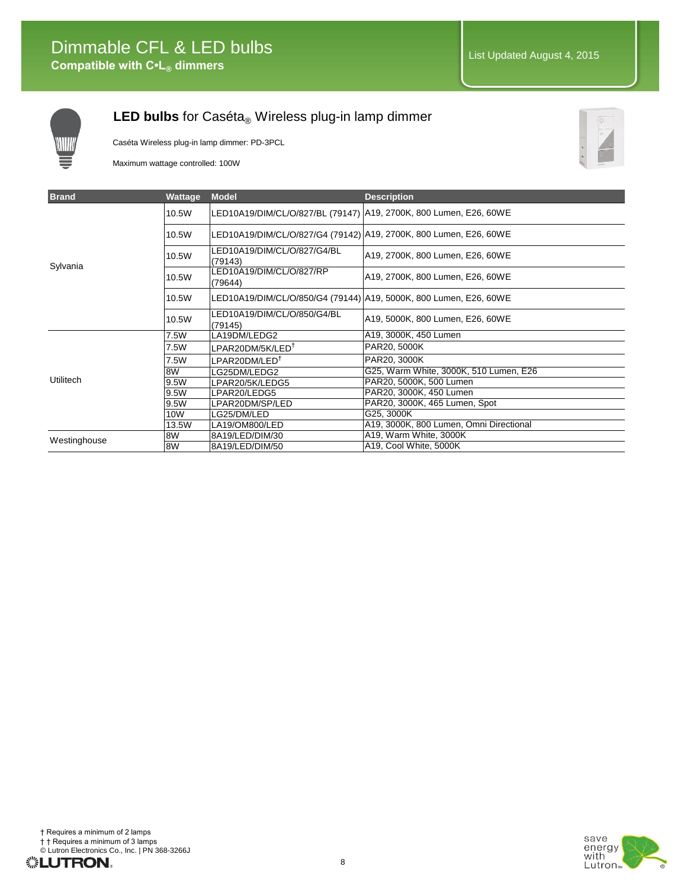

#### LED bulbs for Caséta<sub>®</sub> Wireless plug-in lamp dimmer

Caséta Wireless plug-in lamp dimmer: PD-3PCL

Maximum wattage controlled: 100W



| <b>Brand</b> | Wattage | <b>Model</b>                                                        | <b>Description</b>                      |
|--------------|---------|---------------------------------------------------------------------|-----------------------------------------|
|              | 10.5W   | LED10A19/DIM/CL/O/827/BL (79147)   A19, 2700K, 800 Lumen, E26, 60WE |                                         |
|              | 10.5W   | LED10A19/DIM/CL/O/827/G4 (79142)   A19, 2700K, 800 Lumen, E26, 60WE |                                         |
| Sylvania     | 10.5W   | LED10A19/DIM/CL/O/827/G4/BL<br>(79143)                              | A19, 2700K, 800 Lumen, E26, 60WE        |
|              | 10.5W   | LED10A19/DIM/CL/O/827/RP<br>(79644)                                 | A19, 2700K, 800 Lumen, E26, 60WE        |
|              | 10.5W   | LED10A19/DIM/CL/O/850/G4 (79144)   A19, 5000K, 800 Lumen, E26, 60WE |                                         |
|              | 10.5W   | LED10A19/DIM/CL/O/850/G4/BL<br>(79145)                              | A19, 5000K, 800 Lumen, E26, 60WE        |
|              | 7.5W    | LA19DM/LEDG2                                                        | A19, 3000K, 450 Lumen                   |
|              | 7.5W    | LPAR20DM/5K/LED <sup>T</sup>                                        | PAR20, 5000K                            |
|              | 7.5W    | LPAR20DM/LED <sup>†</sup>                                           | PAR20, 3000K                            |
|              | 8W      | LG25DM/LEDG2                                                        | G25, Warm White, 3000K, 510 Lumen, E26  |
| Utilitech    | 9.5W    | LPAR20/5K/LEDG5                                                     | PAR20, 5000K, 500 Lumen                 |
|              | 9.5W    | LPAR20/LEDG5                                                        | PAR20, 3000K, 450 Lumen                 |
|              | 9.5W    | LPAR20DM/SP/LED                                                     | PAR20, 3000K, 465 Lumen, Spot           |
|              | 10W     | LG25/DM/LED                                                         | G25, 3000K                              |
|              | 13.5W   | LA19/OM800/LED                                                      | A19, 3000K, 800 Lumen, Omni Directional |
| Westinghouse | 8W      | 8A19/LED/DIM/30                                                     | A19, Warm White, 3000K                  |
|              | 8W      | 8A19/LED/DIM/50                                                     | A19, Cool White, 5000K                  |